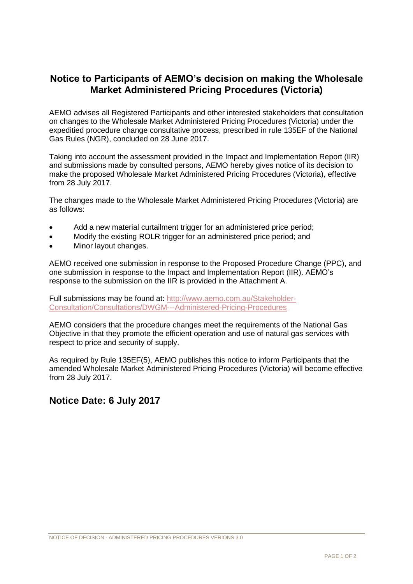## **Notice to Participants of AEMO's decision on making the Wholesale Market Administered Pricing Procedures (Victoria)**

AEMO advises all Registered Participants and other interested stakeholders that consultation on changes to the Wholesale Market Administered Pricing Procedures (Victoria) under the expeditied procedure change consultative process, prescribed in rule 135EF of the National Gas Rules (NGR), concluded on 28 June 2017.

Taking into account the assessment provided in the Impact and Implementation Report (IIR) and submissions made by consulted persons, AEMO hereby gives notice of its decision to make the proposed Wholesale Market Administered Pricing Procedures (Victoria), effective from 28 July 2017.

The changes made to the Wholesale Market Administered Pricing Procedures (Victoria) are as follows:

- Add a new material curtailment trigger for an administered price period;
- Modify the existing ROLR trigger for an administered price period; and
- Minor layout changes.

AEMO received one submission in response to the Proposed Procedure Change (PPC), and one submission in response to the Impact and Implementation Report (IIR). AEMO's response to the submission on the IIR is provided in the Attachment A.

Full submissions may be found at: [http://www.aemo.com.au/Stakeholder-](http://www.aemo.com.au/Stakeholder-Consultation/Consultations/DWGM---Administered-Pricing-Procedures)[Consultation/Consultations/DWGM---Administered-Pricing-Procedures](http://www.aemo.com.au/Stakeholder-Consultation/Consultations/DWGM---Administered-Pricing-Procedures)

AEMO considers that the procedure changes meet the requirements of the National Gas Objective in that they promote the efficient operation and use of natural gas services with respect to price and security of supply.

As required by Rule 135EF(5), AEMO publishes this notice to inform Participants that the amended Wholesale Market Administered Pricing Procedures (Victoria) will become effective from 28 July 2017.

## **Notice Date: 6 July 2017**